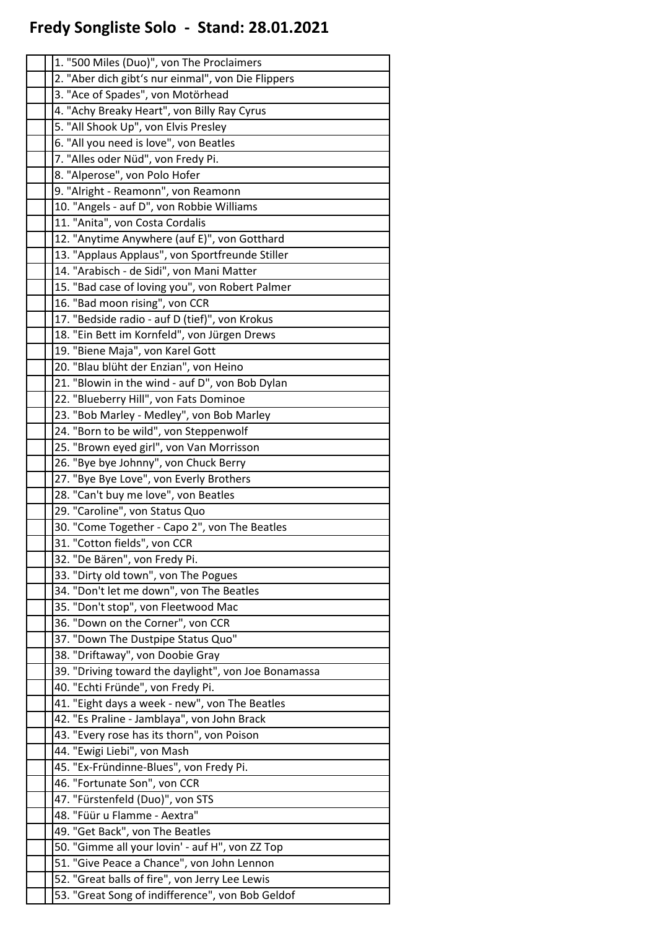## **Fredy Songliste Solo - Stand: 28.01.2021**

| 1. "500 Miles (Duo)", von The Proclaimers                              |
|------------------------------------------------------------------------|
| 2. "Aber dich gibt's nur einmal", von Die Flippers                     |
| 3. "Ace of Spades", von Motörhead                                      |
| 4. "Achy Breaky Heart", von Billy Ray Cyrus                            |
| 5. "All Shook Up", von Elvis Presley                                   |
| 6. "All you need is love", von Beatles                                 |
|                                                                        |
| 7. "Alles oder Nüd", von Fredy Pi.                                     |
| 8. "Alperose", von Polo Hofer                                          |
| 9. "Alright - Reamonn", von Reamonn                                    |
| 10. "Angels - auf D", von Robbie Williams                              |
| 11. "Anita", von Costa Cordalis                                        |
| 12. "Anytime Anywhere (auf E)", von Gotthard                           |
| 13. "Applaus Applaus", von Sportfreunde Stiller                        |
| 14. "Arabisch - de Sidi", von Mani Matter                              |
| 15. "Bad case of loving you", von Robert Palmer                        |
| 16. "Bad moon rising", von CCR                                         |
| 17. "Bedside radio - auf D (tief)", von Krokus                         |
| 18. "Ein Bett im Kornfeld", von Jürgen Drews                           |
| 19. "Biene Maja", von Karel Gott                                       |
| 20. "Blau blüht der Enzian", von Heino                                 |
| 21. "Blowin in the wind - auf D", von Bob Dylan                        |
| 22. "Blueberry Hill", von Fats Dominoe                                 |
| 23. "Bob Marley - Medley", von Bob Marley                              |
| 24. "Born to be wild", von Steppenwolf                                 |
| 25. "Brown eyed girl", von Van Morrisson                               |
| 26. "Bye bye Johnny", von Chuck Berry                                  |
| 27. "Bye Bye Love", von Everly Brothers                                |
| 28. "Can't buy me love", von Beatles                                   |
| 29. "Caroline", von Status Quo                                         |
| 30. "Come Together - Capo 2", von The Beatles                          |
| 31. "Cotton fields", von CCR                                           |
| 32. "De Bären", von Fredy Pi.                                          |
| 33. "Dirty old town", von The Pogues                                   |
| 34. "Don't let me down", von The Beatles                               |
| 35. "Don't stop", von Fleetwood Mac                                    |
| 36. "Down on the Corner", von CCR                                      |
| 37. "Down The Dustpipe Status Quo"                                     |
| 38. "Driftaway", von Doobie Gray                                       |
| 39. "Driving toward the daylight", von Joe Bonamassa                   |
| 40. "Echti Fründe", von Fredy Pi.                                      |
| 41. "Eight days a week - new", von The Beatles                         |
| 42. "Es Praline - Jamblaya", von John Brack                            |
|                                                                        |
| 43. "Every rose has its thorn", von Poison                             |
| 44. "Ewigi Liebi", von Mash<br>45. "Ex-Fründinne-Blues", von Fredy Pi. |
|                                                                        |
| 46. "Fortunate Son", von CCR                                           |
| 47. "Fürstenfeld (Duo)", von STS                                       |
| 48. "Füür u Flamme - Aextra"                                           |
| 49. "Get Back", von The Beatles                                        |
| 50. "Gimme all your lovin' - auf H", von ZZ Top                        |
| 51. "Give Peace a Chance", von John Lennon                             |
| 52. "Great balls of fire", von Jerry Lee Lewis                         |
| 53. "Great Song of indifference", von Bob Geldof                       |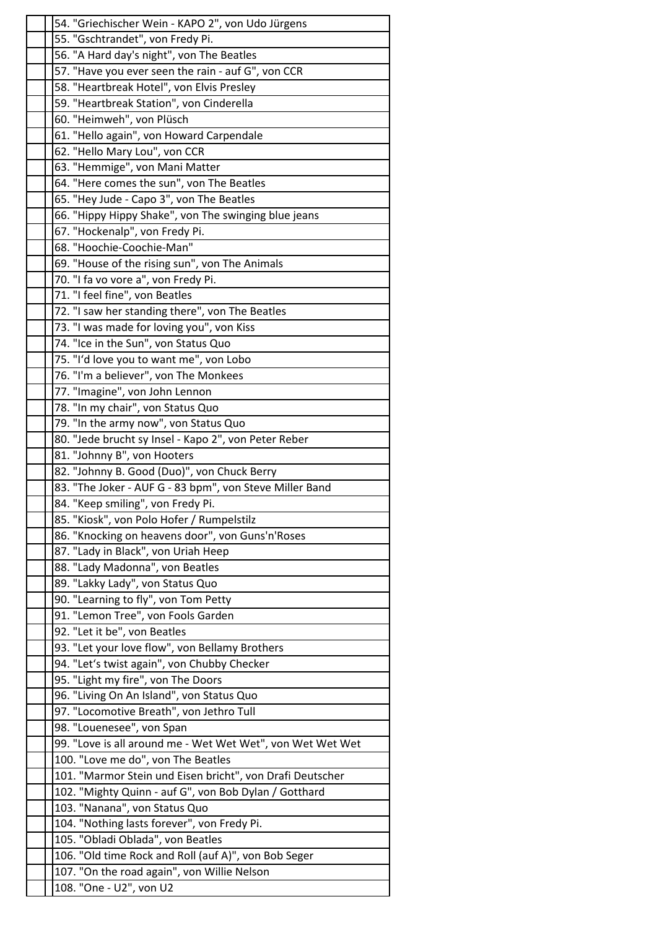|  | 54. "Griechischer Wein - KAPO 2", von Udo Jürgens          |
|--|------------------------------------------------------------|
|  | 55. "Gschtrandet", von Fredy Pi.                           |
|  | 56. "A Hard day's night", von The Beatles                  |
|  | 57. "Have you ever seen the rain - auf G", von CCR         |
|  | 58. "Heartbreak Hotel", von Elvis Presley                  |
|  | 59. "Heartbreak Station", von Cinderella                   |
|  | 60. "Heimweh", von Plüsch                                  |
|  | 61. "Hello again", von Howard Carpendale                   |
|  | 62. "Hello Mary Lou", von CCR                              |
|  | 63. "Hemmige", von Mani Matter                             |
|  | 64. "Here comes the sun", von The Beatles                  |
|  | 65. "Hey Jude - Capo 3", von The Beatles                   |
|  | 66. "Hippy Hippy Shake", von The swinging blue jeans       |
|  | 67. "Hockenalp", von Fredy Pi.                             |
|  | 68. "Hoochie-Coochie-Man"                                  |
|  | 69. "House of the rising sun", von The Animals             |
|  |                                                            |
|  | 70. "I fa vo vore a", von Fredy Pi.                        |
|  | 71. "I feel fine", von Beatles                             |
|  | 72. "I saw her standing there", von The Beatles            |
|  | 73. "I was made for loving you", von Kiss                  |
|  | 74. "Ice in the Sun", von Status Quo                       |
|  | 75. "I'd love you to want me", von Lobo                    |
|  | 76. "I'm a believer", von The Monkees                      |
|  | 77. "Imagine", von John Lennon                             |
|  | 78. "In my chair", von Status Quo                          |
|  | 79. "In the army now", von Status Quo                      |
|  | 80. "Jede brucht sy Insel - Kapo 2", von Peter Reber       |
|  | 81. "Johnny B", von Hooters                                |
|  | 82. "Johnny B. Good (Duo)", von Chuck Berry                |
|  | 83. "The Joker - AUF G - 83 bpm", von Steve Miller Band    |
|  | 84. "Keep smiling", von Fredy Pi.                          |
|  | 85. "Kiosk", von Polo Hofer / Rumpelstilz                  |
|  | 86. "Knocking on heavens door", von Guns'n'Roses           |
|  | 87. "Lady in Black", von Uriah Heep                        |
|  | 88. "Lady Madonna", von Beatles                            |
|  | 89. "Lakky Lady", von Status Quo                           |
|  | 90. "Learning to fly", von Tom Petty                       |
|  |                                                            |
|  | 91. "Lemon Tree", von Fools Garden                         |
|  | 92. "Let it be", von Beatles                               |
|  | 93. "Let your love flow", von Bellamy Brothers             |
|  | 94. "Let's twist again", von Chubby Checker                |
|  | 95. "Light my fire", von The Doors                         |
|  | 96. "Living On An Island", von Status Quo                  |
|  | 97. "Locomotive Breath", von Jethro Tull                   |
|  | 98. "Louenesee", von Span                                  |
|  | 99. "Love is all around me - Wet Wet Wet", von Wet Wet Wet |
|  | 100. "Love me do", von The Beatles                         |
|  | 101. "Marmor Stein und Eisen bricht", von Drafi Deutscher  |
|  | 102. "Mighty Quinn - auf G", von Bob Dylan / Gotthard      |
|  | 103. "Nanana", von Status Quo                              |
|  | 104. "Nothing lasts forever", von Fredy Pi.                |
|  | 105. "Obladi Oblada", von Beatles                          |
|  | 106. "Old time Rock and Roll (auf A)", von Bob Seger       |
|  | 107. "On the road again", von Willie Nelson                |
|  | 108. "One - U2", von U2                                    |
|  |                                                            |